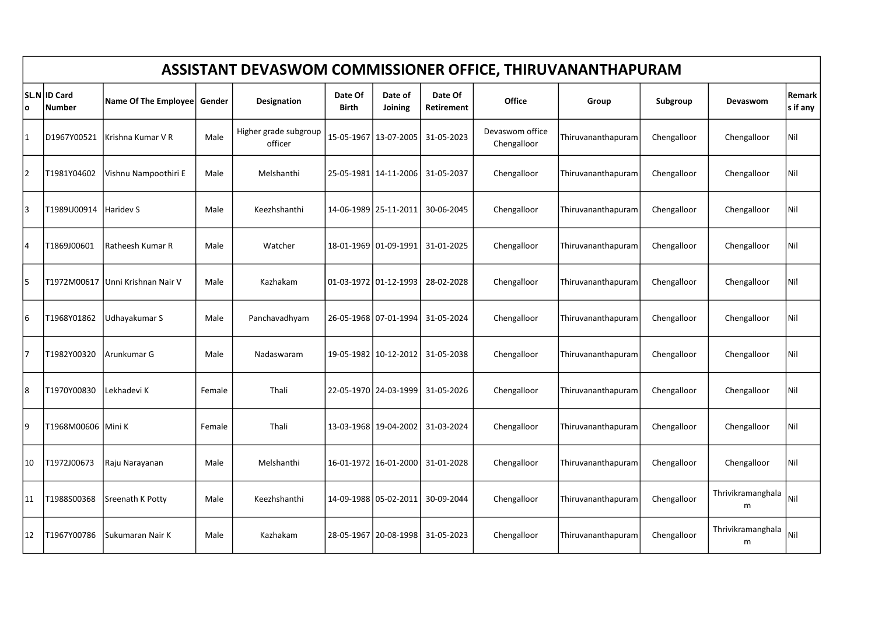|                | ASSISTANT DEVASWOM COMMISSIONER OFFICE, THIRUVANANTHAPURAM |                      |        |                                  |                  |                         |                       |                                |                    |             |                        |                    |  |  |  |
|----------------|------------------------------------------------------------|----------------------|--------|----------------------------------|------------------|-------------------------|-----------------------|--------------------------------|--------------------|-------------|------------------------|--------------------|--|--|--|
| ۱o             | <b>SL.N ID Card</b><br><b>Number</b>                       | Name Of The Employee | Gender | Designation                      | Date Of<br>Birth | Date of<br>Joining      | Date Of<br>Retirement | Office                         | Group              | Subgroup    | Devaswom               | Remark<br>s if any |  |  |  |
|                | D1967Y00521                                                | Krishna Kumar V R    | Male   | Higher grade subgroup<br>officer |                  | 15-05-1967 13-07-2005   | 31-05-2023            | Devaswom office<br>Chengalloor | Thiruvananthapuram | Chengalloor | Chengalloor            | Nil                |  |  |  |
| $\overline{2}$ | T1981Y04602                                                | Vishnu Nampoothiri E | Male   | Melshanthi                       |                  | 25-05-1981   14-11-2006 | 31-05-2037            | Chengalloor                    | Thiruvananthapuram | Chengalloor | Chengalloor            | Nil                |  |  |  |
| 3              | T1989U00914                                                | <b>Haridev S</b>     | Male   | Keezhshanthi                     |                  | 14-06-1989   25-11-2011 | 30-06-2045            | Chengalloor                    | Thiruvananthapuram | Chengalloor | Chengalloor            | Nil                |  |  |  |
| 4              | T1869J00601                                                | Ratheesh Kumar R     | Male   | Watcher                          |                  | 18-01-1969 01-09-1991   | 31-01-2025            | Chengalloor                    | Thiruvananthapuram | Chengalloor | Chengalloor            | Nil                |  |  |  |
| 5              | T1972M00617                                                | Unni Krishnan Nair V | Male   | Kazhakam                         |                  | 01-03-1972 01-12-1993   | 28-02-2028            | Chengalloor                    | Thiruvananthapuram | Chengalloor | Chengalloor            | Nil                |  |  |  |
| 6              | T1968Y01862                                                | Udhayakumar S        | Male   | Panchavadhyam                    |                  | 26-05-1968 07-01-1994   | 31-05-2024            | Chengalloor                    | Thiruvananthapuram | Chengalloor | Chengalloor            | Nil                |  |  |  |
| 17             | T1982Y00320                                                | Arunkumar G          | Male   | Nadaswaram                       |                  | 19-05-1982   10-12-2012 | 31-05-2038            | Chengalloor                    | Thiruvananthapuram | Chengalloor | Chengalloor            | Nil                |  |  |  |
| 8              | T1970Y00830                                                | Lekhadevi K          | Female | Thali                            |                  | 22-05-1970   24-03-1999 | 31-05-2026            | Chengalloor                    | Thiruvananthapuram | Chengalloor | Chengalloor            | Nil                |  |  |  |
| 9              | T1968M00606 Mini K                                         |                      | Female | Thali                            |                  | 13-03-1968 19-04-2002   | 31-03-2024            | Chengalloor                    | Thiruvananthapuram | Chengalloor | Chengalloor            | Nil                |  |  |  |
| 10             | T1972J00673                                                | Raju Narayanan       | Male   | Melshanthi                       |                  | 16-01-1972 16-01-2000   | 31-01-2028            | Chengalloor                    | Thiruvananthapuram | Chengalloor | Chengalloor            | Nil                |  |  |  |
| 11             | T1988S00368                                                | Sreenath K Potty     | Male   | Keezhshanthi                     |                  | 14-09-1988 05-02-2011   | 30-09-2044            | Chengalloor                    | Thiruvananthapuram | Chengalloor | Thrivikramanghala<br>m | Nil                |  |  |  |
| 12             | T1967Y00786                                                | Sukumaran Nair K     | Male   | Kazhakam                         |                  | 28-05-1967   20-08-1998 | 31-05-2023            | Chengalloor                    | Thiruvananthapuram | Chengalloor | Thrivikramanghala<br>m | Nil                |  |  |  |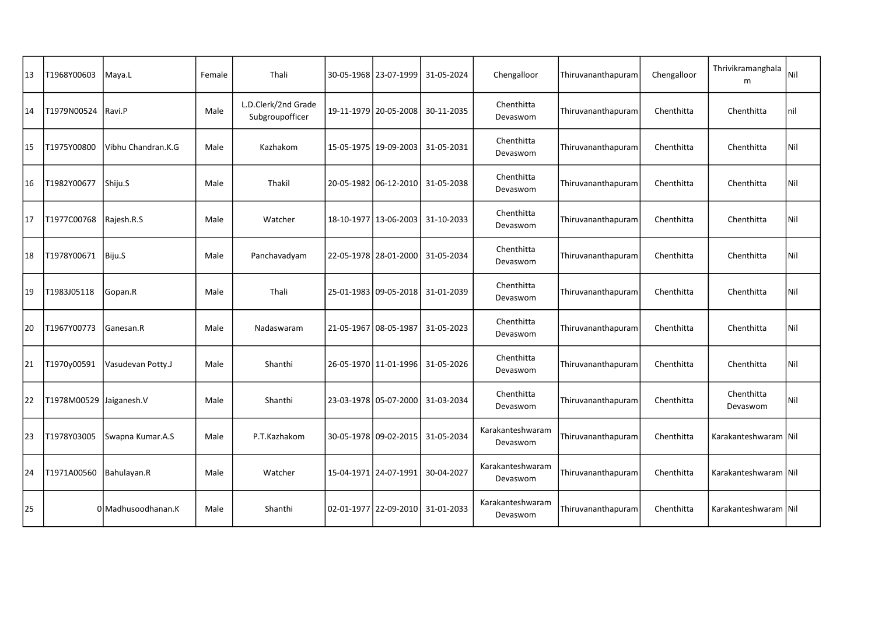| 13 | T1968Y00603             | Maya.L             | Female | Thali                                  | 30-05-1968   23-07-1999 | 31-05-2024                           | Chengalloor                  | Thiruvananthapuram | Chengalloor | Thrivikramanghala<br>m | Nil |
|----|-------------------------|--------------------|--------|----------------------------------------|-------------------------|--------------------------------------|------------------------------|--------------------|-------------|------------------------|-----|
| 14 | T1979N00524             | Ravi.P             | Male   | L.D.Clerk/2nd Grade<br>Subgroupofficer | 19-11-1979   20-05-2008 | 30-11-2035                           | Chenthitta<br>Devaswom       | Thiruvananthapuram | Chenthitta  | Chenthitta             | nil |
| 15 | T1975Y00800             | Vibhu Chandran.K.G | Male   | Kazhakom                               | 15-05-1975   19-09-2003 | 31-05-2031                           | Chenthitta<br>Devaswom       | Thiruvananthapuram | Chenthitta  | Chenthitta             | Nil |
| 16 | T1982Y00677             | Shiju.S            | Male   | Thakil                                 | 20-05-1982 06-12-2010   | 31-05-2038                           | Chenthitta<br>Devaswom       | Thiruvananthapuram | Chenthitta  | Chenthitta             | Nil |
| 17 | T1977C00768             | Rajesh.R.S         | Male   | Watcher                                | 18-10-1977   13-06-2003 | 31-10-2033                           | Chenthitta<br>Devaswom       | Thiruvananthapuram | Chenthitta  | Chenthitta             | Nil |
| 18 | T1978Y00671             | Biju.S             | Male   | Panchavadyam                           |                         | 22-05-1978   28-01-2000   31-05-2034 | Chenthitta<br>Devaswom       | Thiruvananthapuram | Chenthitta  | Chenthitta             | Nil |
| 19 | T1983J05118             | Gopan.R            | Male   | Thali                                  | 25-01-1983 09-05-2018   | 31-01-2039                           | Chenthitta<br>Devaswom       | Thiruvananthapuram | Chenthitta  | Chenthitta             | Nil |
| 20 | T1967Y00773             | Ganesan.R          | Male   | Nadaswaram                             | 21-05-1967   08-05-1987 | 31-05-2023                           | Chenthitta<br>Devaswom       | Thiruvananthapuram | Chenthitta  | Chenthitta             | Nil |
| 21 | T1970y00591             | Vasudevan Potty.J  | Male   | Shanthi                                | 26-05-1970 11-01-1996   | 31-05-2026                           | Chenthitta<br>Devaswom       | Thiruvananthapuram | Chenthitta  | Chenthitta             | Nil |
| 22 | T1978M00529 Jaiganesh.V |                    | Male   | Shanthi                                |                         | 23-03-1978 05-07-2000 31-03-2034     | Chenthitta<br>Devaswom       | Thiruvananthapuram | Chenthitta  | Chenthitta<br>Devaswom | Nil |
| 23 | T1978Y03005             | Swapna Kumar.A.S   | Male   | P.T.Kazhakom                           | 30-05-1978 09-02-2015   | 31-05-2034                           | Karakanteshwaram<br>Devaswom | Thiruvananthapuram | Chenthitta  | Karakanteshwaram   Nil |     |
| 24 | T1971A00560             | Bahulayan.R        | Male   | Watcher                                | 15-04-1971   24-07-1991 | 30-04-2027                           | Karakanteshwaram<br>Devaswom | Thiruvananthapuram | Chenthitta  | Karakanteshwaram Nil   |     |
| 25 |                         | 0 Madhusoodhanan.K | Male   | Shanthi                                | 02-01-1977   22-09-2010 | 31-01-2033                           | Karakanteshwaram<br>Devaswom | Thiruvananthapuram | Chenthitta  | Karakanteshwaram   Nil |     |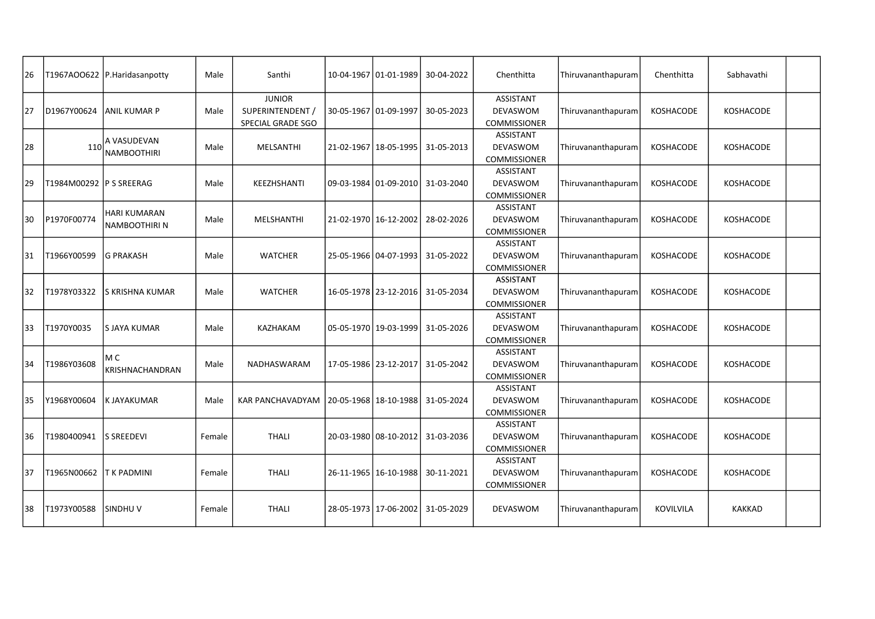| 26 |                          | T1967AOO622 P.Haridasanpotty         | Male   | Santhi                                                 | 10-04-1967   01-01-1989 | 30-04-2022                           | Chenthitta                                                 | Thiruvananthapuram | Chenthitta       | Sabhavathi       |  |
|----|--------------------------|--------------------------------------|--------|--------------------------------------------------------|-------------------------|--------------------------------------|------------------------------------------------------------|--------------------|------------------|------------------|--|
| 27 | D1967Y00624              | <b>ANIL KUMAR P</b>                  | Male   | <b>JUNIOR</b><br>SUPERINTENDENT /<br>SPECIAL GRADE SGO | 30-05-1967   01-09-1997 | 30-05-2023                           | <b>ASSISTANT</b><br>DEVASWOM<br><b>COMMISSIONER</b>        | Thiruvananthapuram | KOSHACODE        | KOSHACODE        |  |
| 28 | 110                      | A VASUDEVAN<br><b>NAMBOOTHIRI</b>    | Male   | MELSANTHI                                              | 21-02-1967   18-05-1995 | 31-05-2013                           | <b>ASSISTANT</b><br>DEVASWOM<br>COMMISSIONER               | Thiruvananthapuram | KOSHACODE        | KOSHACODE        |  |
| 29 | T1984M00292 IP S SREERAG |                                      | Male   | KEEZHSHANTI                                            |                         | 09-03-1984 01-09-2010 31-03-2040     | ASSISTANT<br><b>DEVASWOM</b><br><b>COMMISSIONER</b>        | Thiruvananthapuram | <b>KOSHACODE</b> | <b>KOSHACODE</b> |  |
| 30 | P1970F00774              | <b>HARI KUMARAN</b><br>NAMBOOTHIRI N | Male   | MELSHANTHI                                             | 21-02-1970   16-12-2002 | 28-02-2026                           | ASSISTANT<br>DEVASWOM<br>COMMISSIONER                      | Thiruvananthapuram | KOSHACODE        | KOSHACODE        |  |
| 31 | T1966Y00599              | lG PRAKASH                           | Male   | <b>WATCHER</b>                                         |                         | 25-05-1966   04-07-1993   31-05-2022 | <b>ASSISTANT</b><br>DEVASWOM<br>COMMISSIONER               | Thiruvananthapuram | <b>KOSHACODE</b> | KOSHACODE        |  |
| 32 | T1978Y03322              | S KRISHNA KUMAR                      | Male   | <b>WATCHER</b>                                         |                         | 16-05-1978   23-12-2016   31-05-2034 | <b>ASSISTANT</b><br>DEVASWOM<br>COMMISSIONER               | Thiruvananthapuram | KOSHACODE        | KOSHACODE        |  |
| 33 | T1970Y0035               | <b>SJAYA KUMAR</b>                   | Male   | KAZHAKAM                                               |                         | 05-05-1970   19-03-1999   31-05-2026 | ASSISTANT<br><b>DEVASWOM</b><br>COMMISSIONER               | Thiruvananthapuram | <b>KOSHACODE</b> | KOSHACODE        |  |
| 34 | T1986Y03608              | МC<br>KRISHNACHANDRAN                | Male   | NADHASWARAM                                            |                         | 17-05-1986   23-12-2017   31-05-2042 | ASSISTANT<br>DEVASWOM<br><b>COMMISSIONER</b>               | Thiruvananthapuram | KOSHACODE        | KOSHACODE        |  |
| 35 | Y1968Y00604              | K JAYAKUMAR                          | Male   | <b>KAR PANCHAVADYAM</b>                                |                         | 20-05-1968   18-10-1988   31-05-2024 | <b>ASSISTANT</b><br>DEVASWOM<br><b>COMMISSIONER</b>        | Thiruvananthapuram | <b>KOSHACODE</b> | KOSHACODE        |  |
| 36 | T1980400941              | <b>S SREEDEVI</b>                    | Female | <b>THALI</b>                                           |                         | 20-03-1980   08-10-2012   31-03-2036 | ASSISTANT<br>DEVASWOM<br>COMMISSIONER                      | Thiruvananthapuram | KOSHACODE        | KOSHACODE        |  |
| 37 | T1965N00662              | <b>IT K PADMINI</b>                  | Female | <b>THALI</b>                                           | 26-11-1965   16-10-1988 | 30-11-2021                           | <b>ASSISTANT</b><br><b>DEVASWOM</b><br><b>COMMISSIONER</b> | Thiruvananthapuram | <b>KOSHACODE</b> | <b>KOSHACODE</b> |  |
| 38 | T1973Y00588              | lsindhu v                            | Female | <b>THALI</b>                                           | 28-05-1973   17-06-2002 | 31-05-2029                           | DEVASWOM                                                   | Thiruvananthapuram | <b>KOVILVILA</b> | <b>KAKKAD</b>    |  |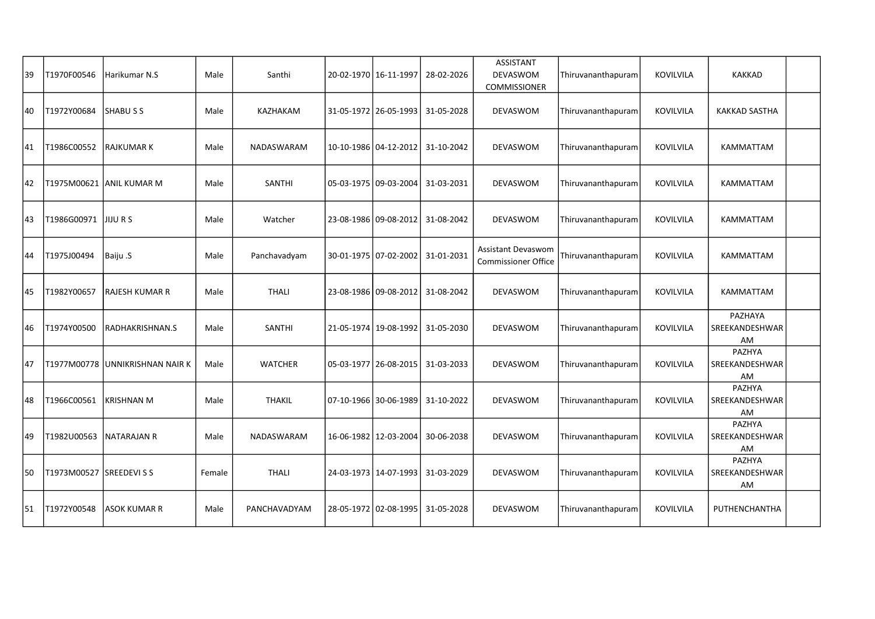| 39 | T1970F00546              | Harikumar N.S                     | Male   | Santhi         | 20-02-1970   16-11-1997 | 28-02-2026                           | ASSISTANT<br>DEVASWOM<br><b>COMMISSIONER</b>            | Thiruvananthapuram | KOVILVILA        | <b>KAKKAD</b>                   |  |
|----|--------------------------|-----------------------------------|--------|----------------|-------------------------|--------------------------------------|---------------------------------------------------------|--------------------|------------------|---------------------------------|--|
| 40 | T1972Y00684              | <b>SHABUSS</b>                    | Male   | KAZHAKAM       | 31-05-1972   26-05-1993 | 31-05-2028                           | DEVASWOM                                                | Thiruvananthapuram | KOVILVILA        | KAKKAD SASTHA                   |  |
| 41 | T1986C00552              | <b>RAJKUMAR K</b>                 | Male   | NADASWARAM     | 10-10-1986   04-12-2012 | 31-10-2042                           | DEVASWOM                                                | Thiruvananthapuram | KOVILVILA        | KAMMATTAM                       |  |
| 42 |                          | T1975M00621 ANIL KUMAR M          | Male   | <b>SANTHI</b>  | 05-03-1975 09-03-2004   | 31-03-2031                           | DEVASWOM                                                | Thiruvananthapuram | KOVILVILA        | KAMMATTAM                       |  |
| 43 | T1986G00971              | <b>JIJURS</b>                     | Male   | Watcher        |                         | 23-08-1986 09-08-2012 31-08-2042     | DEVASWOM                                                | Thiruvananthapuram | <b>KOVILVILA</b> | KAMMATTAM                       |  |
| 44 | T1975J00494              | Baiju .S                          | Male   | Panchavadyam   |                         | 30-01-1975 07-02-2002 31-01-2031     | <b>Assistant Devaswom</b><br><b>Commissioner Office</b> | Thiruvananthapuram | <b>KOVILVILA</b> | KAMMATTAM                       |  |
| 45 | T1982Y00657              | <b>RAJESH KUMAR R</b>             | Male   | <b>THALI</b>   | 23-08-1986 09-08-2012   | 31-08-2042                           | DEVASWOM                                                | Thiruvananthapuram | KOVILVILA        | KAMMATTAM                       |  |
| 46 | T1974Y00500              | RADHAKRISHNAN.S                   | Male   | <b>SANTHI</b>  |                         | 21-05-1974   19-08-1992   31-05-2030 | DEVASWOM                                                | Thiruvananthapuram | KOVILVILA        | PAZHAYA<br>SREEKANDESHWAR<br>AM |  |
| 47 |                          | T1977M00778   UNNIKRISHNAN NAIR K | Male   | <b>WATCHER</b> |                         | 05-03-1977   26-08-2015   31-03-2033 | DEVASWOM                                                | Thiruvananthapuram | KOVILVILA        | PAZHYA<br>SREEKANDESHWAR<br>AM  |  |
| 48 | T1966C00561              | <b>KRISHNAN M</b>                 | Male   | <b>THAKIL</b>  |                         | 07-10-1966 30-06-1989 31-10-2022     | <b>DEVASWOM</b>                                         | Thiruvananthapuram | KOVILVILA        | PAZHYA<br>SREEKANDESHWAR<br>AM  |  |
| 49 | T1982U00563              | <b>NATARAJAN R</b>                | Male   | NADASWARAM     | 16-06-1982 12-03-2004   | 30-06-2038                           | DEVASWOM                                                | Thiruvananthapuram | KOVILVILA        | PAZHYA<br>SREEKANDESHWAR<br>AM  |  |
| 50 | T1973M00527 SREEDEVI S S |                                   | Female | <b>THALI</b>   |                         | 24-03-1973   14-07-1993   31-03-2029 | DEVASWOM                                                | Thiruvananthapuram | KOVILVILA        | PAZHYA<br>SREEKANDESHWAR<br>AM  |  |
| 51 | T1972Y00548              | ASOK KUMAR R                      | Male   | PANCHAVADYAM   | 28-05-1972 02-08-1995   | 31-05-2028                           | <b>DEVASWOM</b>                                         | Thiruvananthapuram | KOVILVILA        | PUTHENCHANTHA                   |  |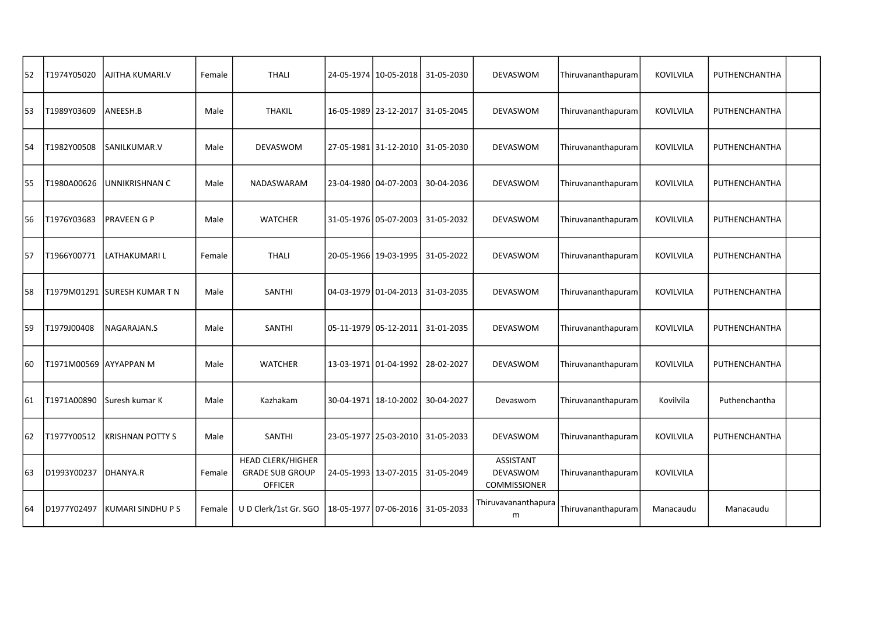| 52 | T1974Y05020            | AJITHA KUMARI.V         | Female | <b>THALI</b>                                                         | 24-05-1974   10-05-2018 | 31-05-2030 | DEVASWOM                                                   | Thiruvananthapuram | KOVILVILA | PUTHENCHANTHA |  |
|----|------------------------|-------------------------|--------|----------------------------------------------------------------------|-------------------------|------------|------------------------------------------------------------|--------------------|-----------|---------------|--|
| 53 | T1989Y03609            | ANEESH.B                | Male   | <b>THAKIL</b>                                                        | 16-05-1989   23-12-2017 | 31-05-2045 | DEVASWOM                                                   | Thiruvananthapuram | KOVILVILA | PUTHENCHANTHA |  |
| 54 | T1982Y00508            | SANILKUMAR.V            | Male   | DEVASWOM                                                             | 27-05-1981 31-12-2010   | 31-05-2030 | DEVASWOM                                                   | Thiruvananthapuram | KOVILVILA | PUTHENCHANTHA |  |
| 55 | T1980A00626            | UNNIKRISHNAN C          | Male   | NADASWARAM                                                           | 23-04-1980   04-07-2003 | 30-04-2036 | <b>DEVASWOM</b>                                            | Thiruvananthapuram | KOVILVILA | PUTHENCHANTHA |  |
| 56 | T1976Y03683            | <b>PRAVEEN G P</b>      | Male   | <b>WATCHER</b>                                                       | 31-05-1976 05-07-2003   | 31-05-2032 | DEVASWOM                                                   | Thiruvananthapuram | KOVILVILA | PUTHENCHANTHA |  |
| 57 | T1966Y00771            | LATHAKUMARI L           | Female | <b>THALI</b>                                                         | 20-05-1966   19-03-1995 | 31-05-2022 | DEVASWOM                                                   | Thiruvananthapuram | KOVILVILA | PUTHENCHANTHA |  |
| 58 | T1979M01291            | <b>SURESH KUMAR T N</b> | Male   | <b>SANTHI</b>                                                        | 04-03-1979 01-04-2013   | 31-03-2035 | DEVASWOM                                                   | Thiruvananthapuram | KOVILVILA | PUTHENCHANTHA |  |
| 59 | T1979J00408            | NAGARAJAN.S             | Male   | SANTHI                                                               | 05-11-1979 05-12-2011   | 31-01-2035 | DEVASWOM                                                   | Thiruvananthapuram | KOVILVILA | PUTHENCHANTHA |  |
| 60 | T1971M00569 AYYAPPAN M |                         | Male   | <b>WATCHER</b>                                                       | 13-03-1971 01-04-1992   | 28-02-2027 | DEVASWOM                                                   | Thiruvananthapuram | KOVILVILA | PUTHENCHANTHA |  |
| 61 | T1971A00890            | Suresh kumar K          | Male   | Kazhakam                                                             | 30-04-1971   18-10-2002 | 30-04-2027 | Devaswom                                                   | Thiruvananthapuram | Kovilvila | Puthenchantha |  |
| 62 | T1977Y00512            | <b>KRISHNAN POTTY S</b> | Male   | SANTHI                                                               | 23-05-1977   25-03-2010 | 31-05-2033 | DEVASWOM                                                   | Thiruvananthapuram | KOVILVILA | PUTHENCHANTHA |  |
| 63 | D1993Y00237            | DHANYA.R                | Female | <b>HEAD CLERK/HIGHER</b><br><b>GRADE SUB GROUP</b><br><b>OFFICER</b> | 24-05-1993 13-07-2015   | 31-05-2049 | <b>ASSISTANT</b><br><b>DEVASWOM</b><br><b>COMMISSIONER</b> | Thiruvananthapuram | KOVILVILA |               |  |
| 64 | D1977Y02497            | KUMARI SINDHU P S       | Female | U D Clerk/1st Gr. SGO                                                | 18-05-1977 07-06-2016   | 31-05-2033 | Thiruvavananthapura<br>m                                   | Thiruvananthapuram | Manacaudu | Manacaudu     |  |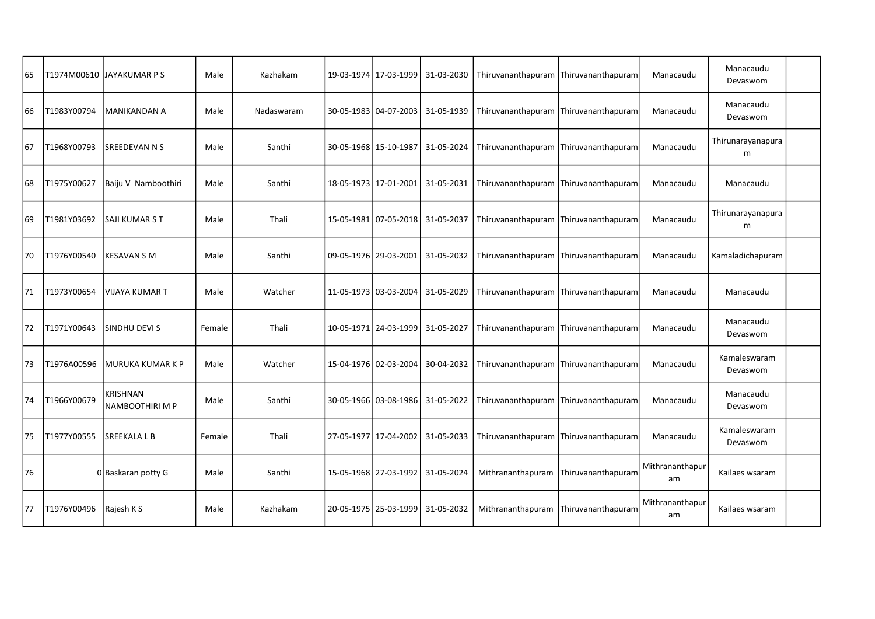| 65 |             | T1974M00610  JAYAKUMAR P S  | Male   | Kazhakam   | 19-03-1974   17-03-1999 | 31-03-2030                       | Thiruvananthapuram Thiruvananthapuram |                    | Manacaudu             | Manacaudu<br>Devaswom    |  |
|----|-------------|-----------------------------|--------|------------|-------------------------|----------------------------------|---------------------------------------|--------------------|-----------------------|--------------------------|--|
| 66 | T1983Y00794 | <b>MANIKANDAN A</b>         | Male   | Nadaswaram | 30-05-1983 04-07-2003   | 31-05-1939                       | Thiruvananthapuram Thiruvananthapuram |                    | Manacaudu             | Manacaudu<br>Devaswom    |  |
| 67 | T1968Y00793 | SREEDEVAN N S               | Male   | Santhi     | 30-05-1968 15-10-1987   | 31-05-2024                       | Thiruvananthapuram Thiruvananthapuram |                    | Manacaudu             | Thirunarayanapura<br>m   |  |
| 68 | T1975Y00627 | Baiju V Namboothiri         | Male   | Santhi     | 18-05-1973   17-01-2001 | 31-05-2031                       | Thiruvananthapuram                    | Thiruvananthapuram | Manacaudu             | Manacaudu                |  |
| 69 | T1981Y03692 | SAJI KUMAR S T              | Male   | Thali      | 15-05-1981 07-05-2018   | 31-05-2037                       | Thiruvananthapuram                    | Thiruvananthapuram | Manacaudu             | Thirunarayanapura<br>m   |  |
| 70 | T1976Y00540 | <b>KESAVAN S M</b>          | Male   | Santhi     | 09-05-1976   29-03-2001 | 31-05-2032                       | Thiruvananthapuram                    | Thiruvananthapuram | Manacaudu             | Kamaladichapuram         |  |
| 71 | T1973Y00654 | <b>VIJAYA KUMAR T</b>       | Male   | Watcher    | 11-05-1973 03-03-2004   | 31-05-2029                       | Thiruvananthapuram                    | Thiruvananthapuram | Manacaudu             | Manacaudu                |  |
| 72 | T1971Y00643 | <b>SINDHU DEVI S</b>        | Female | Thali      | 10-05-1971   24-03-1999 | 31-05-2027                       | Thiruvananthapuram                    | Thiruvananthapuram | Manacaudu             | Manacaudu<br>Devaswom    |  |
| 73 | T1976A00596 | <b>MURUKA KUMAR K P</b>     | Male   | Watcher    | 15-04-1976   02-03-2004 | 30-04-2032                       | Thiruvananthapuram                    | Thiruvananthapuram | Manacaudu             | Kamaleswaram<br>Devaswom |  |
| 74 | T1966Y00679 | KRISHNAN<br>NAMBOOTHIRI M P | Male   | Santhi     |                         | 30-05-1966 03-08-1986 31-05-2022 | Thiruvananthapuram Thiruvananthapuram |                    | Manacaudu             | Manacaudu<br>Devaswom    |  |
| 75 | T1977Y00555 | <b>SREEKALA L B</b>         | Female | Thali      | 27-05-1977 17-04-2002   | 31-05-2033                       | Thiruvananthapuram Thiruvananthapuram |                    | Manacaudu             | Kamaleswaram<br>Devaswom |  |
| 76 |             | 0 Baskaran potty G          | Male   | Santhi     | 15-05-1968   27-03-1992 | 31-05-2024                       | Mithrananthapuram                     | Thiruvananthapuram | Mithrananthapur<br>am | Kailaes wsaram           |  |
| 77 | T1976Y00496 | Rajesh K S                  | Male   | Kazhakam   | 20-05-1975   25-03-1999 | 31-05-2032                       | Mithrananthapuram                     | Thiruvananthapuram | Mithrananthapur<br>am | Kailaes wsaram           |  |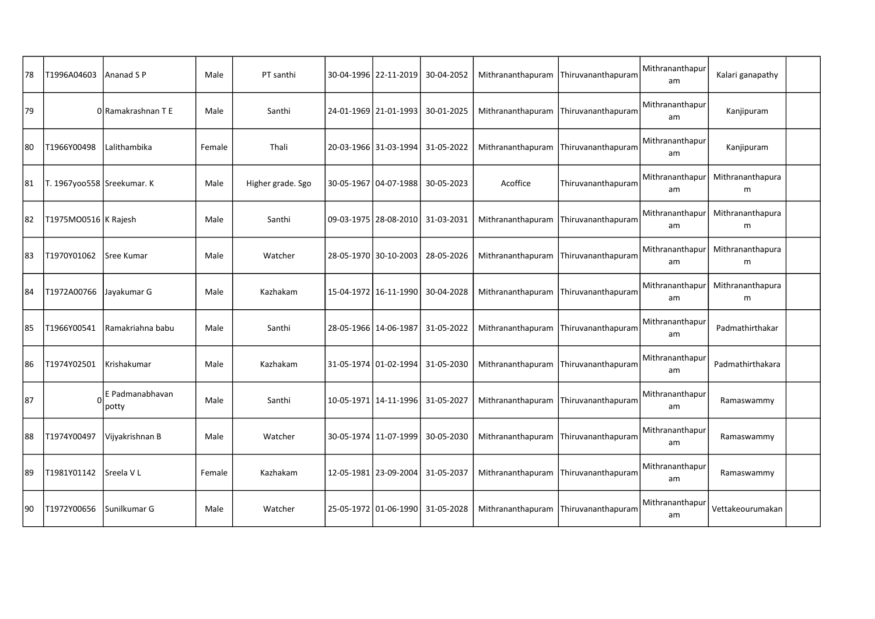| 78 | T1996A04603                | Ananad S P                              | Male   | PT santhi         | 30-04-1996   22-11-2019              | 30-04-2052 |                   | Mithrananthapuram Thiruvananthapuram | Mithrananthapur<br>am | Kalari ganapathy      |  |
|----|----------------------------|-----------------------------------------|--------|-------------------|--------------------------------------|------------|-------------------|--------------------------------------|-----------------------|-----------------------|--|
| 79 |                            | 0 Ramakrashnan T E                      | Male   | Santhi            | 24-01-1969   21-01-1993              | 30-01-2025 | Mithrananthapuram | Thiruvananthapuram                   | Mithrananthapur<br>am | Kanjipuram            |  |
| 80 | T1966Y00498                | Lalithambika                            | Female | Thali             | 20-03-1966 31-03-1994                | 31-05-2022 | Mithrananthapuram | Thiruvananthapuram                   | Mithrananthapur<br>am | Kanjipuram            |  |
| 81 | T. 1967yoo558 Sreekumar. K |                                         | Male   | Higher grade. Sgo | 30-05-1967   04-07-1988              | 30-05-2023 | Acoffice          | Thiruvananthapuram                   | Mithrananthapur<br>am | Mithrananthapura<br>m |  |
| 82 | T1975MO0516 K Rajesh       |                                         | Male   | Santhi            | 09-03-1975   28-08-2010              | 31-03-2031 | Mithrananthapuram | Thiruvananthapuram                   | Mithrananthapur<br>am | Mithrananthapura<br>m |  |
| 83 | T1970Y01062                | <b>Sree Kumar</b>                       | Male   | Watcher           | 28-05-1970 30-10-2003                | 28-05-2026 | Mithrananthapuram | Thiruvananthapuram                   | Mithrananthapur<br>am | Mithrananthapura<br>m |  |
| 84 | T1972A00766                | Jayakumar G                             | Male   | Kazhakam          | 15-04-1972   16-11-1990              | 30-04-2028 | Mithrananthapuram | Thiruvananthapuram                   | Mithrananthapur<br>am | Mithrananthapura<br>m |  |
| 85 | T1966Y00541                | Ramakriahna babu                        | Male   | Santhi            | 28-05-1966   14-06-1987              | 31-05-2022 | Mithrananthapuram | Thiruvananthapuram                   | Mithrananthapur<br>am | Padmathirthakar       |  |
| 86 | T1974Y02501                | Krishakumar                             | Male   | Kazhakam          | 31-05-1974   01-02-1994              | 31-05-2030 | Mithrananthapuram | Thiruvananthapuram                   | Mithrananthapur<br>am | Padmathirthakara      |  |
| 87 |                            | $0$ <sup>E</sup> Padmanabhavan<br>potty | Male   | Santhi            | 10-05-1971   14-11-1996   31-05-2027 |            | Mithrananthapuram | Thiruvananthapuram                   | Mithrananthapur<br>am | Ramaswammy            |  |
| 88 | T1974Y00497                | Vijyakrishnan B                         | Male   | Watcher           | 30-05-1974   11-07-1999              | 30-05-2030 | Mithrananthapuram | Thiruvananthapuram                   | Mithrananthapur<br>am | Ramaswammy            |  |
| 89 | T1981Y01142                | Sreela VL                               | Female | Kazhakam          | 12-05-1981   23-09-2004              | 31-05-2037 | Mithrananthapuram | Thiruvananthapuram                   | Mithrananthapur<br>am | Ramaswammy            |  |
| 90 | T1972Y00656                | Sunilkumar G                            | Male   | Watcher           | 25-05-1972   01-06-1990              | 31-05-2028 | Mithrananthapuram | Thiruvananthapuram                   | Mithrananthapur<br>am | Vettakeourumakan      |  |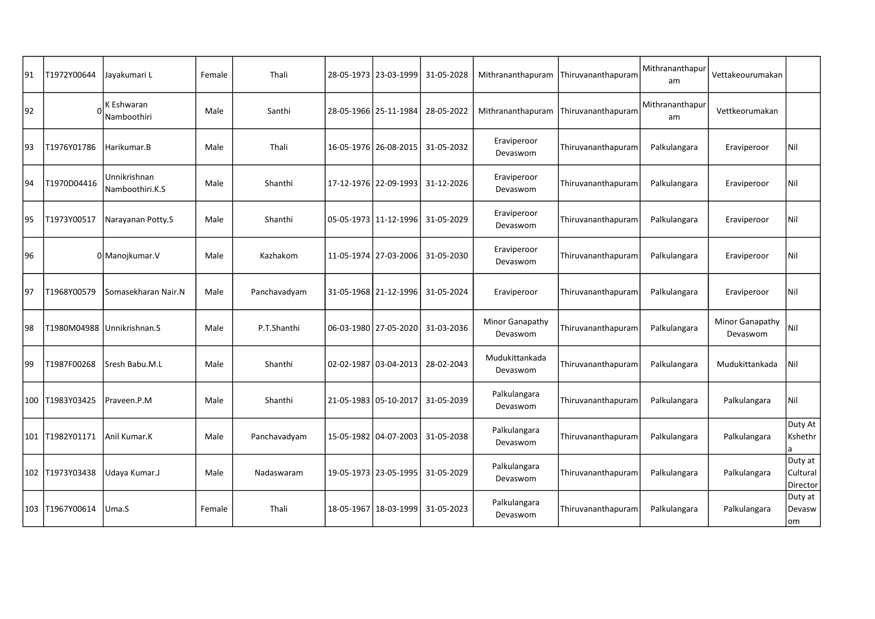| 91 | T1972Y00644     | Jayakumari L                    | Female | Thali        |                         | 28-05-1973   23-03-1999 | 31-05-2028 | Mithrananthapuram           | Thiruvananthapuram | Mithrananthapur<br>am | Vettakeourumakan            |                                 |
|----|-----------------|---------------------------------|--------|--------------|-------------------------|-------------------------|------------|-----------------------------|--------------------|-----------------------|-----------------------------|---------------------------------|
| 92 |                 | K Eshwaran<br>Namboothiri       | Male   | Santhi       |                         | 28-05-1966   25-11-1984 | 28-05-2022 | Mithrananthapuram           | Thiruvananthapuram | Mithrananthapur<br>am | Vettkeorumakan              |                                 |
| 93 | T1976Y01786     | Harikumar.B                     | Male   | Thali        | 16-05-1976 26-08-2015   |                         | 31-05-2032 | Eraviperoor<br>Devaswom     | Thiruvananthapuram | Palkulangara          | Eraviperoor                 | Nil                             |
| 94 | T1970D04416     | Unnikrishnan<br>Namboothiri.K.S | Male   | Shanthi      | 17-12-1976   22-09-1993 |                         | 31-12-2026 | Eraviperoor<br>Devaswom     | Thiruvananthapuram | Palkulangara          | Eraviperoor                 | Nil                             |
| 95 | T1973Y00517     | Narayanan Potty.S               | Male   | Shanthi      |                         | 05-05-1973 11-12-1996   | 31-05-2029 | Eraviperoor<br>Devaswom     | Thiruvananthapuram | Palkulangara          | Eraviperoor                 | Nil                             |
| 96 |                 | 0 Manojkumar. V                 | Male   | Kazhakom     |                         | 11-05-1974   27-03-2006 | 31-05-2030 | Eraviperoor<br>Devaswom     | Thiruvananthapuram | Palkulangara          | Eraviperoor                 | Nil                             |
| 97 | T1968Y00579     | Somasekharan Nair.N             | Male   | Panchavadyam |                         | 31-05-1968 21-12-1996   | 31-05-2024 | Eraviperoor                 | Thiruvananthapuram | Palkulangara          | Eraviperoor                 | Nil                             |
| 98 | T1980M04988     | Unnikrishnan.S                  | Male   | P.T.Shanthi  |                         | 06-03-1980   27-05-2020 | 31-03-2036 | Minor Ganapathy<br>Devaswom | Thiruvananthapuram | Palkulangara          | Minor Ganapathy<br>Devaswom | Nil                             |
| 99 | T1987F00268     | Sresh Babu.M.L                  | Male   | Shanthi      |                         | 02-02-1987 03-04-2013   | 28-02-2043 | Mudukittankada<br>Devaswom  | Thiruvananthapuram | Palkulangara          | Mudukittankada              | Nil                             |
|    | 100 T1983Y03425 | Praveen.P.M                     | Male   | Shanthi      | 21-05-1983   05-10-2017 |                         | 31-05-2039 | Palkulangara<br>Devaswom    | Thiruvananthapuram | Palkulangara          | Palkulangara                | Nil                             |
|    | 101 T1982Y01171 | Anil Kumar.K                    | Male   | Panchavadyam |                         | 15-05-1982   04-07-2003 | 31-05-2038 | Palkulangara<br>Devaswom    | Thiruvananthapuram | Palkulangara          | Palkulangara                | Duty At<br>Kshethr<br>la        |
|    | 102 T1973Y03438 | Udaya Kumar.J                   | Male   | Nadaswaram   | 19-05-1973   23-05-1995 |                         | 31-05-2029 | Palkulangara<br>Devaswom    | Thiruvananthapuram | Palkulangara          | Palkulangara                | Duty at<br>Cultural<br>Director |
|    | 103 T1967Y00614 | Uma.S                           | Female | Thali        |                         | 18-05-1967 18-03-1999   | 31-05-2023 | Palkulangara<br>Devaswom    | Thiruvananthapuram | Palkulangara          | Palkulangara                | Duty at<br>Devasw<br>lom        |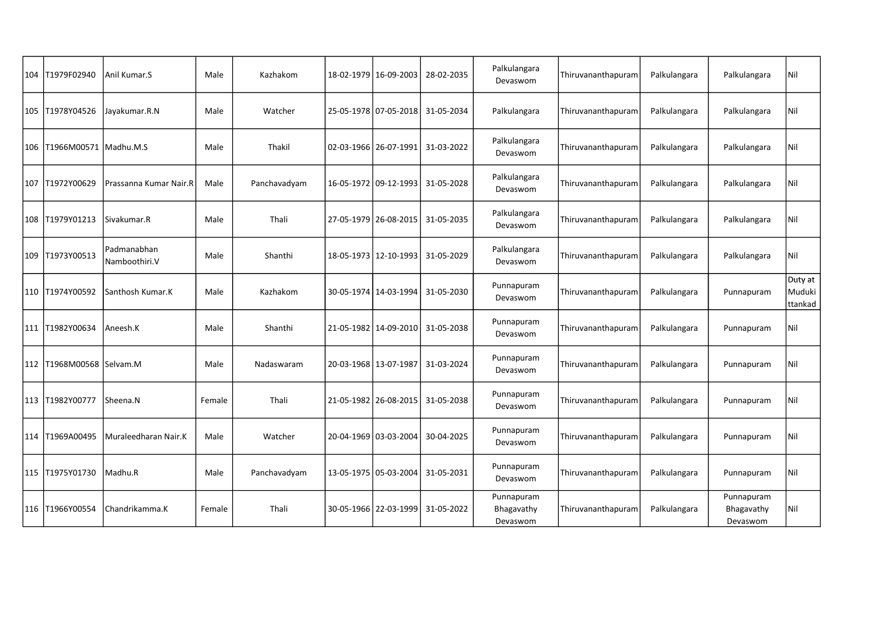| 104 T1979F02940              | Anil Kumar.S                 | Male   | Kazhakom     | 18-02-1979   16-09-2003 | 28-02-2035 | Palkulangara<br>Devaswom             | Thiruvananthapuram | Palkulangara | Palkulangara                         | Nil                          |
|------------------------------|------------------------------|--------|--------------|-------------------------|------------|--------------------------------------|--------------------|--------------|--------------------------------------|------------------------------|
| 105   T1978Y04526            | Jayakumar.R.N                | Male   | Watcher      | 25-05-1978 07-05-2018   | 31-05-2034 | Palkulangara                         | Thiruvananthapuram | Palkulangara | Palkulangara                         | Nil                          |
| 106   T1966M00571            | Madhu.M.S                    | Male   | Thakil       | 02-03-1966   26-07-1991 | 31-03-2022 | Palkulangara<br>Devaswom             | Thiruvananthapuram | Palkulangara | Palkulangara                         | Nil                          |
| 107 T1972Y00629              | Prassanna Kumar Nair.R       | Male   | Panchavadyam | 16-05-1972 09-12-1993   | 31-05-2028 | Palkulangara<br>Devaswom             | Thiruvananthapuram | Palkulangara | Palkulangara                         | Nil                          |
| 108 T1979Y01213              | Sivakumar.R                  | Male   | Thali        | 27-05-1979   26-08-2015 | 31-05-2035 | Palkulangara<br>Devaswom             | Thiruvananthapuram | Palkulangara | Palkulangara                         | Nil                          |
| 109 T1973Y00513              | Padmanabhan<br>Namboothiri.V | Male   | Shanthi      | 18-05-1973   12-10-1993 | 31-05-2029 | Palkulangara<br>Devaswom             | Thiruvananthapuram | Palkulangara | Palkulangara                         | Nil                          |
| 110 T1974Y00592              | Santhosh Kumar.K             | Male   | Kazhakom     | 30-05-1974   14-03-1994 | 31-05-2030 | Punnapuram<br>Devaswom               | Thiruvananthapuram | Palkulangara | Punnapuram                           | Duty at<br>Muduki<br>ttankad |
| 111 T1982Y00634              | Aneesh.K                     | Male   | Shanthi      | 21-05-1982 14-09-2010   | 31-05-2038 | Punnapuram<br>Devaswom               | Thiruvananthapuram | Palkulangara | Punnapuram                           | Nil                          |
| 112   T1968M00568   Selvam.M |                              | Male   | Nadaswaram   | 20-03-1968   13-07-1987 | 31-03-2024 | Punnapuram<br>Devaswom               | Thiruvananthapuram | Palkulangara | Punnapuram                           | Nil                          |
| 113 T1982Y00777              | Sheena.N                     | Female | Thali        | 21-05-1982 26-08-2015   | 31-05-2038 | Punnapuram<br>Devaswom               | Thiruvananthapuram | Palkulangara | Punnapuram                           | Nil                          |
| 114 T1969A00495              | Muraleedharan Nair.K         | Male   | Watcher      | 20-04-1969 03-03-2004   | 30-04-2025 | Punnapuram<br>Devaswom               | Thiruvananthapuram | Palkulangara | Punnapuram                           | Nil                          |
| 115 T1975Y01730              | Madhu.R                      | Male   | Panchavadyam | 13-05-1975   05-03-2004 | 31-05-2031 | Punnapuram<br>Devaswom               | Thiruvananthapuram | Palkulangara | Punnapuram                           | Nil                          |
| 116 T1966Y00554              | Chandrikamma.K               | Female | Thali        | 30-05-1966 22-03-1999   | 31-05-2022 | Punnapuram<br>Bhagavathy<br>Devaswom | Thiruvananthapuram | Palkulangara | Punnapuram<br>Bhagavathy<br>Devaswom | Nil                          |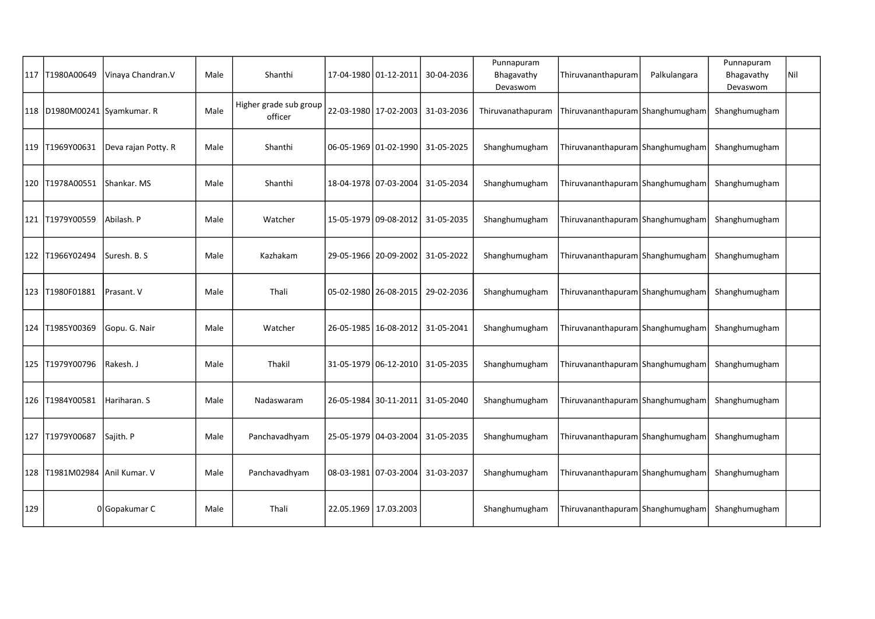|     | 117   T1980A00649             | Vinaya Chandran.V   | Male | Shanthi                           | 17-04-1980 01-12-2011   | 30-04-2036 | Punnapuram<br>Bhagavathy<br>Devaswom | Thiruvananthapuram                 | Palkulangara | Punnapuram<br>Bhagavathy<br>Devaswom | Nil |
|-----|-------------------------------|---------------------|------|-----------------------------------|-------------------------|------------|--------------------------------------|------------------------------------|--------------|--------------------------------------|-----|
|     | 118 D1980M00241 Syamkumar. R  |                     | Male | Higher grade sub group<br>officer | 22-03-1980 17-02-2003   | 31-03-2036 | Thiruvanathapuram                    | Thiruvananthapuram Shanghumugham   |              | Shanghumugham                        |     |
|     | 119 T1969Y00631               | Deva rajan Potty. R | Male | Shanthi                           | 06-05-1969 01-02-1990   | 31-05-2025 | Shanghumugham                        | Thiruvananthapuram Shanghumugham   |              | Shanghumugham                        |     |
|     | 120 T1978A00551               | Shankar, MS         | Male | Shanthi                           | 18-04-1978 07-03-2004   | 31-05-2034 | Shanghumugham                        | Thiruvananthapuram   Shanghumugham |              | Shanghumugham                        |     |
|     | 121  T1979Y00559              | Abilash. P          | Male | Watcher                           | 15-05-1979   09-08-2012 | 31-05-2035 | Shanghumugham                        | Thiruvananthapuram Shanghumugham   |              | Shanghumugham                        |     |
|     | 122 T1966Y02494               | Suresh. B. S        | Male | Kazhakam                          | 29-05-1966   20-09-2002 | 31-05-2022 | Shanghumugham                        | Thiruvananthapuram Shanghumugham   |              | Shanghumugham                        |     |
|     | 123 T1980F01881               | Prasant. V          | Male | Thali                             | 05-02-1980   26-08-2015 | 29-02-2036 | Shanghumugham                        | Thiruvananthapuram Shanghumugham   |              | Shanghumugham                        |     |
|     | 124 T1985Y00369               | Gopu. G. Nair       | Male | Watcher                           | 26-05-1985 16-08-2012   | 31-05-2041 | Shanghumugham                        | Thiruvananthapuram Shanghumugham   |              | Shanghumugham                        |     |
|     | 125 T1979Y00796               | Rakesh. J           | Male | Thakil                            | 31-05-1979 06-12-2010   | 31-05-2035 | Shanghumugham                        | Thiruvananthapuram Shanghumugham   |              | Shanghumugham                        |     |
|     | 126 T1984Y00581               | Hariharan. S        | Male | Nadaswaram                        | 26-05-1984 30-11-2011   | 31-05-2040 | Shanghumugham                        | Thiruvananthapuram Shanghumugham   |              | Shanghumugham                        |     |
|     | 127 T1979Y00687               | Sajith. P           | Male | Panchavadhyam                     | 25-05-1979 04-03-2004   | 31-05-2035 | Shanghumugham                        | Thiruvananthapuram Shanghumugham   |              | Shanghumugham                        |     |
|     | 128 T1981M02984 Anil Kumar. V |                     | Male | Panchavadhyam                     | 08-03-1981 07-03-2004   | 31-03-2037 | Shanghumugham                        | Thiruvananthapuram Shanghumugham   |              | Shanghumugham                        |     |
| 129 |                               | 0 Gopakumar C       | Male | Thali                             | 22.05.1969 17.03.2003   |            | Shanghumugham                        | Thiruvananthapuram Shanghumugham   |              | Shanghumugham                        |     |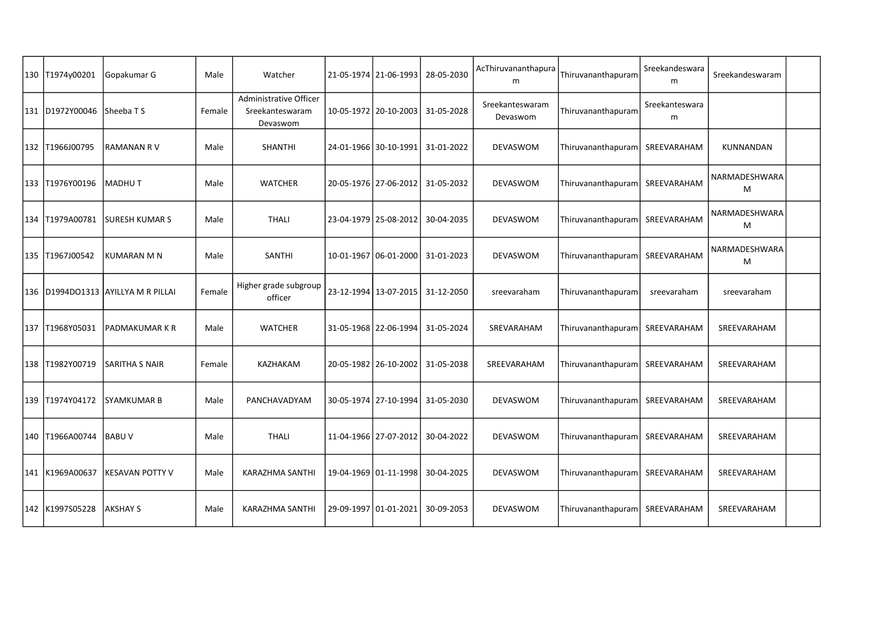| 130 T1974y00201   | Gopakumar G                            | Male   | Watcher                                               | 21-05-1974   21-06-1993 | 28-05-2030 | AcThiruvananthapura<br>m    | Thiruvananthapuram | Sreekandeswara<br>m         | Sreekandeswaram    |  |
|-------------------|----------------------------------------|--------|-------------------------------------------------------|-------------------------|------------|-----------------------------|--------------------|-----------------------------|--------------------|--|
| 131 D1972Y00046   | l Sheeba T S                           | Female | Administrative Officer<br>Sreekanteswaram<br>Devaswom | 10-05-1972 20-10-2003   | 31-05-2028 | Sreekanteswaram<br>Devaswom | Thiruvananthapuram | Sreekanteswara<br>${\sf m}$ |                    |  |
| 132 T1966J00795   | <b>RAMANAN RV</b>                      | Male   | <b>SHANTHI</b>                                        | 24-01-1966 30-10-1991   | 31-01-2022 | DEVASWOM                    | Thiruvananthapuram | SREEVARAHAM                 | KUNNANDAN          |  |
| 133 T1976Y00196   | <b>MADHUT</b>                          | Male   | <b>WATCHER</b>                                        | 20-05-1976   27-06-2012 | 31-05-2032 | DEVASWOM                    | Thiruvananthapuram | SREEVARAHAM                 | NARMADESHWARA<br>M |  |
| 134 T1979A00781   | <b>SURESH KUMAR S</b>                  | Male   | <b>THALI</b>                                          | 23-04-1979 25-08-2012   | 30-04-2035 | DEVASWOM                    | Thiruvananthapuram | SREEVARAHAM                 | NARMADESHWARA<br>M |  |
| 135 T1967J00542   | <b>KUMARAN M N</b>                     | Male   | SANTHI                                                | 10-01-1967 06-01-2000   | 31-01-2023 | DEVASWOM                    | Thiruvananthapuram | SREEVARAHAM                 | NARMADESHWARA<br>M |  |
|                   | 136   D1994DO1313   AYILLYA M R PILLAI | Female | Higher grade subgroup<br>officer                      | 23-12-1994 13-07-2015   | 31-12-2050 | sreevaraham                 | Thiruvananthapuram | sreevaraham                 | sreevaraham        |  |
| 137 T1968Y05031   | PADMAKUMAR K R                         | Male   | <b>WATCHER</b>                                        | 31-05-1968   22-06-1994 | 31-05-2024 | SREVARAHAM                  | Thiruvananthapuram | SREEVARAHAM                 | SREEVARAHAM        |  |
| 138   T1982Y00719 | SARITHA S NAIR                         | Female | KAZHAKAM                                              | 20-05-1982   26-10-2002 | 31-05-2038 | SREEVARAHAM                 | Thiruvananthapuram | SREEVARAHAM                 | SREEVARAHAM        |  |
| 139 T1974Y04172   | lsyamkumar b                           | Male   | PANCHAVADYAM                                          | 30-05-1974   27-10-1994 | 31-05-2030 | <b>DEVASWOM</b>             | Thiruvananthapuram | SREEVARAHAM                 | SREEVARAHAM        |  |
| 140   T1966A00744 | <b>BABUV</b>                           | Male   | <b>THALI</b>                                          | 11-04-1966 27-07-2012   | 30-04-2022 | DEVASWOM                    | Thiruvananthapuram | SREEVARAHAM                 | SREEVARAHAM        |  |
| 141 K1969A00637   | KESAVAN POTTY V                        | Male   | KARAZHMA SANTHI                                       | 19-04-1969 01-11-1998   | 30-04-2025 | DEVASWOM                    | Thiruvananthapuram | SREEVARAHAM                 | SREEVARAHAM        |  |
| 142 K1997S05228   | AKSHAY S                               | Male   | KARAZHMA SANTHI                                       | 29-09-1997 01-01-2021   | 30-09-2053 | DEVASWOM                    | Thiruvananthapuram | SREEVARAHAM                 | SREEVARAHAM        |  |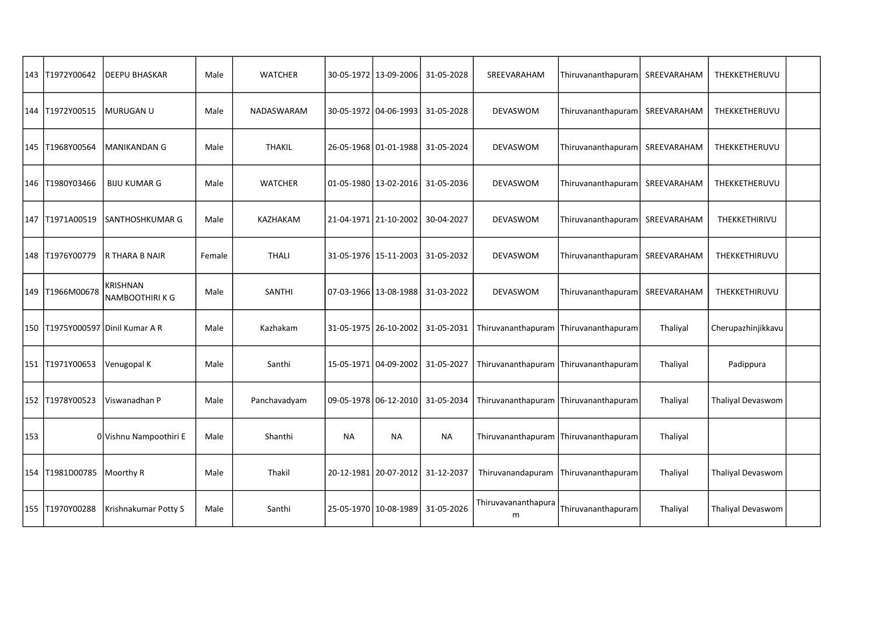|     | 143 T1972Y00642   | <b>DEEPU BHASKAR</b>                 | Male   | <b>WATCHER</b> |    | 30-05-1972   13-09-2006 | 31-05-2028                           | SREEVARAHAM              | Thiruvananthapuram | SREEVARAHAM | THEKKETHERUVU      |  |
|-----|-------------------|--------------------------------------|--------|----------------|----|-------------------------|--------------------------------------|--------------------------|--------------------|-------------|--------------------|--|
|     | 144 T1972Y00515   | MURUGAN U                            | Male   | NADASWARAM     |    | 30-05-1972 04-06-1993   | 31-05-2028                           | DEVASWOM                 | Thiruvananthapuram | SREEVARAHAM | THEKKETHERUVU      |  |
|     | 145   T1968Y00564 | <b>MANIKANDAN G</b>                  | Male   | <b>THAKIL</b>  |    | 26-05-1968 01-01-1988   | 31-05-2024                           | <b>DEVASWOM</b>          | Thiruvananthapuram | SREEVARAHAM | THEKKETHERUVU      |  |
|     | 146 T1980Y03466   | <b>BIJU KUMAR G</b>                  | Male   | <b>WATCHER</b> |    | 01-05-1980   13-02-2016 | 31-05-2036                           | DEVASWOM                 | Thiruvananthapuram | SREEVARAHAM | THEKKETHERUVU      |  |
| 147 | T1971A00519       | SANTHOSHKUMAR G                      | Male   | KAZHAKAM       |    | 21-04-1971   21-10-2002 | 30-04-2027                           | DEVASWOM                 | Thiruvananthapuram | SREEVARAHAM | THEKKETHIRIVU      |  |
|     | 148 T1976Y00779   | <b>R THARA B NAIR</b>                | Female | <b>THALI</b>   |    | 31-05-1976 15-11-2003   | 31-05-2032                           | <b>DEVASWOM</b>          | Thiruvananthapuram | SREEVARAHAM | THEKKETHIRUVU      |  |
|     | 149 T1966M00678   | KRISHNAN<br>NAMBOOTHIRI K G          | Male   | SANTHI         |    | 07-03-1966 13-08-1988   | 31-03-2022                           | DEVASWOM                 | Thiruvananthapuram | SREEVARAHAM | THEKKETHIRUVU      |  |
|     |                   | 150   T1975Y000597   Dinil Kumar A R | Male   | Kazhakam       |    | 31-05-1975   26-10-2002 | 31-05-2031                           | Thiruvananthapuram       | Thiruvananthapuram | Thaliyal    | Cherupazhinjikkavu |  |
|     | 151 T1971Y00653   | Venugopal K                          | Male   | Santhi         |    | 15-05-1971 04-09-2002   | 31-05-2027                           | Thiruvananthapuram       | Thiruvananthapuram | Thaliyal    | Padippura          |  |
|     | 152 T1978Y00523   | Viswanadhan P                        | Male   | Panchavadyam   |    |                         | 09-05-1978   06-12-2010   31-05-2034 | Thiruvananthapuram       | Thiruvananthapuram | Thaliyal    | Thaliyal Devaswom  |  |
| 153 |                   | 0 Vishnu Nampoothiri E               | Male   | Shanthi        | NA | NA                      | NA                                   | Thiruvananthapuram       | Thiruvananthapuram | Thaliyal    |                    |  |
|     | 154 T1981D00785   | Moorthy R                            | Male   | Thakil         |    | 20-12-1981 20-07-2012   | 31-12-2037                           | Thiruvanandapuram        | Thiruvananthapuram | Thaliyal    | Thaliyal Devaswom  |  |
|     | 155 T1970Y00288   | Krishnakumar Potty S                 | Male   | Santhi         |    | 25-05-1970 10-08-1989   | 31-05-2026                           | Thiruvavananthapura<br>m | Thiruvananthapuram | Thaliyal    | Thaliyal Devaswom  |  |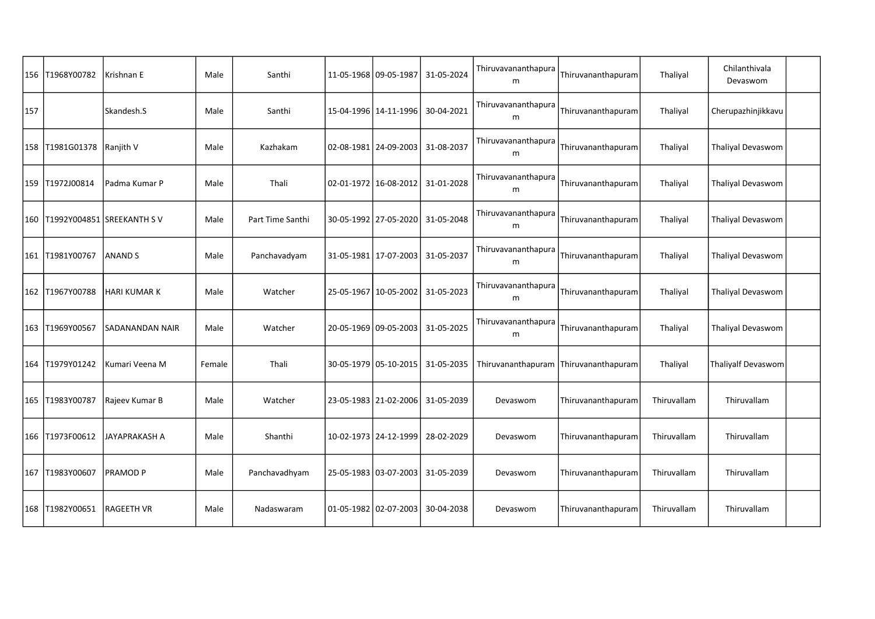|     | 156 T1968Y00782 | Krishnan E                    | Male   | Santhi           |                       | 11-05-1968 09-05-1987   | 31-05-2024 | Thiruvavananthapura<br>m              | Thiruvananthapuram | Thaliyal    | Chilanthivala<br>Devaswom |  |
|-----|-----------------|-------------------------------|--------|------------------|-----------------------|-------------------------|------------|---------------------------------------|--------------------|-------------|---------------------------|--|
| 157 |                 | Skandesh.S                    | Male   | Santhi           |                       | 15-04-1996   14-11-1996 | 30-04-2021 | Thiruvavananthapura<br>m              | Thiruvananthapuram | Thaliyal    | Cherupazhinjikkavu        |  |
|     | 158 T1981G01378 | Ranjith V                     | Male   | Kazhakam         |                       | 02-08-1981   24-09-2003 | 31-08-2037 | Thiruvavananthapura<br>m              | Thiruvananthapuram | Thaliyal    | Thaliyal Devaswom         |  |
|     | 159 T1972J00814 | Padma Kumar P                 | Male   | Thali            |                       | 02-01-1972 16-08-2012   | 31-01-2028 | Thiruvavananthapura<br>m              | Thiruvananthapuram | Thaliyal    | <b>Thaliyal Devaswom</b>  |  |
|     |                 | 160 T1992Y004851 SREEKANTH SV | Male   | Part Time Santhi |                       | 30-05-1992   27-05-2020 | 31-05-2048 | Thiruvavananthapura<br>m              | Thiruvananthapuram | Thaliyal    | Thaliyal Devaswom         |  |
|     | 161 T1981Y00767 | <b>ANAND S</b>                | Male   | Panchavadyam     |                       | 31-05-1981   17-07-2003 | 31-05-2037 | Thiruvavananthapura<br>m              | Thiruvananthapuram | Thaliyal    | <b>Thaliyal Devaswom</b>  |  |
|     | 162 T1967Y00788 | <b>HARI KUMAR K</b>           | Male   | Watcher          |                       | 25-05-1967 10-05-2002   | 31-05-2023 | Thiruvavananthapura<br>m              | Thiruvananthapuram | Thaliyal    | Thaliyal Devaswom         |  |
|     | 163 T1969Y00567 | <b>SADANANDAN NAIR</b>        | Male   | Watcher          |                       | 20-05-1969 09-05-2003   | 31-05-2025 | Thiruvavananthapura<br>m              | Thiruvananthapuram | Thaliyal    | <b>Thaliyal Devaswom</b>  |  |
|     | 164 T1979Y01242 | Kumari Veena M                | Female | Thali            |                       | 30-05-1979   05-10-2015 | 31-05-2035 | Thiruvananthapuram Thiruvananthapuram |                    | Thaliyal    | Thaliyalf Devaswom        |  |
|     | 165 T1983Y00787 | Rajeev Kumar B                | Male   | Watcher          |                       | 23-05-1983   21-02-2006 | 31-05-2039 | Devaswom                              | Thiruvananthapuram | Thiruvallam | Thiruvallam               |  |
|     | 166 T1973F00612 | JAYAPRAKASH A                 | Male   | Shanthi          |                       | 10-02-1973   24-12-1999 | 28-02-2029 | Devaswom                              | Thiruvananthapuram | Thiruvallam | Thiruvallam               |  |
|     | 167 T1983Y00607 | <b>PRAMOD P</b>               | Male   | Panchavadhyam    |                       | 25-05-1983 03-07-2003   | 31-05-2039 | Devaswom                              | Thiruvananthapuram | Thiruvallam | Thiruvallam               |  |
|     | 168 T1982Y00651 | <b>RAGEETH VR</b>             | Male   | Nadaswaram       | 01-05-1982 02-07-2003 |                         | 30-04-2038 | Devaswom                              | Thiruvananthapuram | Thiruvallam | Thiruvallam               |  |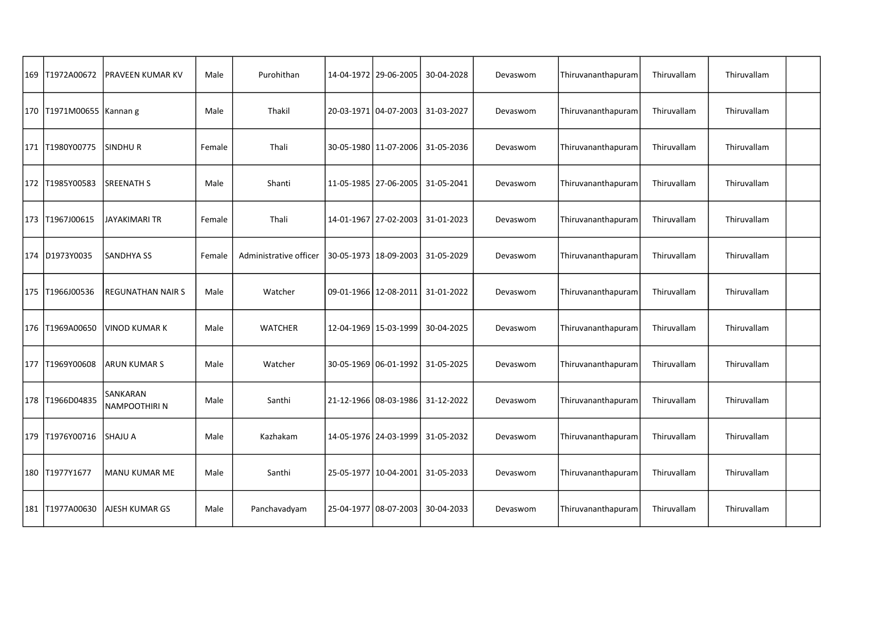| 169 T1972A00672          | PRAVEEN KUMAR KV                 | Male   | Purohithan             | 14-04-1972   29-06-2005 | 30-04-2028                           | Devaswom | Thiruvananthapuram | Thiruvallam | Thiruvallam |  |
|--------------------------|----------------------------------|--------|------------------------|-------------------------|--------------------------------------|----------|--------------------|-------------|-------------|--|
| 170 T1971M00655 Kannan g |                                  | Male   | Thakil                 |                         | 20-03-1971   04-07-2003   31-03-2027 | Devaswom | Thiruvananthapuram | Thiruvallam | Thiruvallam |  |
| 171 T1980Y00775          | <b>SINDHUR</b>                   | Female | Thali                  | 30-05-1980   11-07-2006 | 31-05-2036                           | Devaswom | Thiruvananthapuram | Thiruvallam | Thiruvallam |  |
| 172   T1985Y00583        | <b>SREENATH S</b>                | Male   | Shanti                 | 11-05-1985   27-06-2005 | 31-05-2041                           | Devaswom | Thiruvananthapuram | Thiruvallam | Thiruvallam |  |
| 173 T1967J00615          | JAYAKIMARI TR                    | Female | Thali                  |                         | 14-01-1967   27-02-2003   31-01-2023 | Devaswom | Thiruvananthapuram | Thiruvallam | Thiruvallam |  |
| 174 D1973Y0035           | <b>SANDHYA SS</b>                | Female | Administrative officer |                         | 30-05-1973   18-09-2003   31-05-2029 | Devaswom | Thiruvananthapuram | Thiruvallam | Thiruvallam |  |
| 175   T1966J00536        | <b>REGUNATHAN NAIR S</b>         | Male   | Watcher                | 09-01-1966   12-08-2011 | 31-01-2022                           | Devaswom | Thiruvananthapuram | Thiruvallam | Thiruvallam |  |
| 176   T1969A00650        | lvinod kumar k                   | Male   | <b>WATCHER</b>         | 12-04-1969   15-03-1999 | 30-04-2025                           | Devaswom | Thiruvananthapuram | Thiruvallam | Thiruvallam |  |
| 177   T1969Y00608        | ARUN KUMAR S                     | Male   | Watcher                |                         | 30-05-1969   06-01-1992   31-05-2025 | Devaswom | Thiruvananthapuram | Thiruvallam | Thiruvallam |  |
| 178 T1966D04835          | SANKARAN<br><b>NAMPOOTHIRI N</b> | Male   | Santhi                 |                         | 21-12-1966   08-03-1986   31-12-2022 | Devaswom | Thiruvananthapuram | Thiruvallam | Thiruvallam |  |
| 179   T1976Y00716        | <b>SHAJU A</b>                   | Male   | Kazhakam               |                         | 14-05-1976   24-03-1999   31-05-2032 | Devaswom | Thiruvananthapuram | Thiruvallam | Thiruvallam |  |
| 180 T1977Y1677           | <b>MANU KUMAR ME</b>             | Male   | Santhi                 |                         | 25-05-1977   10-04-2001   31-05-2033 | Devaswom | Thiruvananthapuram | Thiruvallam | Thiruvallam |  |
| 181   T1977A00630        | AJESH KUMAR GS                   | Male   | Panchavadyam           | 25-04-1977 08-07-2003   | 30-04-2033                           | Devaswom | Thiruvananthapuram | Thiruvallam | Thiruvallam |  |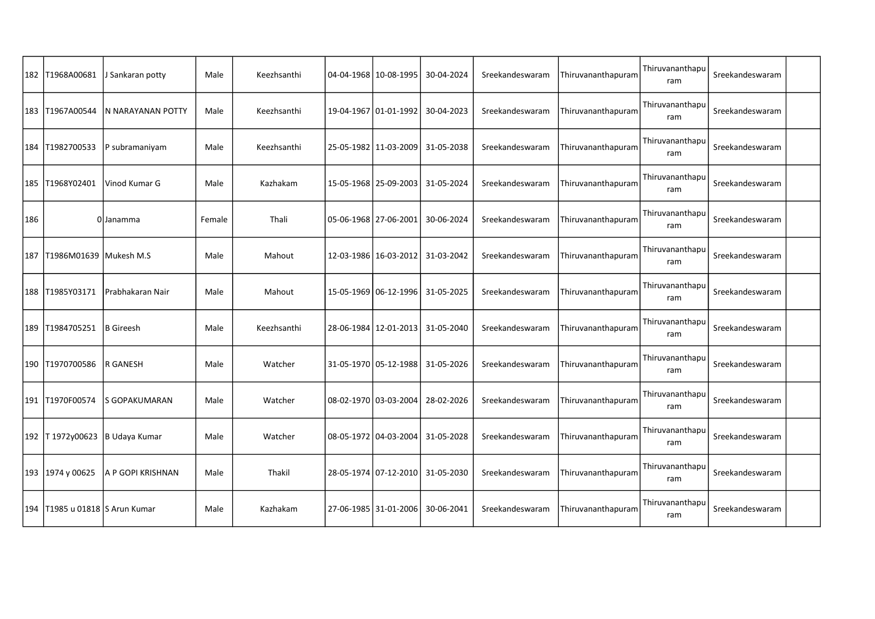|     | 182 T1968A00681                    | J Sankaran potty  | Male   | Keezhsanthi | 04-04-1968   10-08-1995 | 30-04-2024                           | Sreekandeswaram | Thiruvananthapuram | Thiruvananthapu<br>ram | Sreekandeswaram |  |
|-----|------------------------------------|-------------------|--------|-------------|-------------------------|--------------------------------------|-----------------|--------------------|------------------------|-----------------|--|
|     | 183 T1967A00544                    | N NARAYANAN POTTY | Male   | Keezhsanthi | 19-04-1967   01-01-1992 | 30-04-2023                           | Sreekandeswaram | Thiruvananthapuram | Thiruvananthapu<br>ram | Sreekandeswaram |  |
|     | 184 T1982700533                    | P subramaniyam    | Male   | Keezhsanthi | 25-05-1982   11-03-2009 | 31-05-2038                           | Sreekandeswaram | Thiruvananthapuram | Thiruvananthapu<br>ram | Sreekandeswaram |  |
|     | 185   T1968Y02401                  | Vinod Kumar G     | Male   | Kazhakam    | 15-05-1968   25-09-2003 | 31-05-2024                           | Sreekandeswaram | Thiruvananthapuram | Thiruvananthapu<br>ram | Sreekandeswaram |  |
| 186 |                                    | 0 Janamma         | Female | Thali       | 05-06-1968   27-06-2001 | 30-06-2024                           | Sreekandeswaram | Thiruvananthapuram | Thiruvananthapu<br>ram | Sreekandeswaram |  |
|     | 187   T1986M01639   Mukesh M.S     |                   | Male   | Mahout      |                         | 12-03-1986   16-03-2012   31-03-2042 | Sreekandeswaram | Thiruvananthapuram | Thiruvananthapu<br>ram | Sreekandeswaram |  |
|     | 188 T1985Y03171                    | Prabhakaran Nair  | Male   | Mahout      |                         | 15-05-1969 06-12-1996 31-05-2025     | Sreekandeswaram | Thiruvananthapuram | Thiruvananthapu<br>ram | Sreekandeswaram |  |
|     | 189 T1984705251                    | B Gireesh         | Male   | Keezhsanthi |                         | 28-06-1984   12-01-2013   31-05-2040 | Sreekandeswaram | Thiruvananthapuram | Thiruvananthapu<br>ram | Sreekandeswaram |  |
|     | 190   T1970700586                  | IR GANESH         | Male   | Watcher     |                         | 31-05-1970   05-12-1988   31-05-2026 | Sreekandeswaram | Thiruvananthapuram | Thiruvananthapu<br>ram | Sreekandeswaram |  |
|     | 191   T1970F00574                  | lS GOPAKUMARAN    | Male   | Watcher     | 08-02-1970 03-03-2004   | 28-02-2026                           | Sreekandeswaram | Thiruvananthapuram | Thiruvananthapu<br>ram | Sreekandeswaram |  |
|     | 192   T1972y00623                  | B Udaya Kumar     | Male   | Watcher     | 08-05-1972 04-03-2004   | 31-05-2028                           | Sreekandeswaram | Thiruvananthapuram | Thiruvananthapu<br>ram | Sreekandeswaram |  |
|     | 193 1974 y 00625                   | A P GOPI KRISHNAN | Male   | Thakil      |                         | 28-05-1974   07-12-2010   31-05-2030 | Sreekandeswaram | Thiruvananthapuram | Thiruvananthapu<br>ram | Sreekandeswaram |  |
|     | 194   T1985 u 01818   S Arun Kumar |                   | Male   | Kazhakam    | 27-06-1985 31-01-2006   | 30-06-2041                           | Sreekandeswaram | Thiruvananthapuram | Thiruvananthapu<br>ram | Sreekandeswaram |  |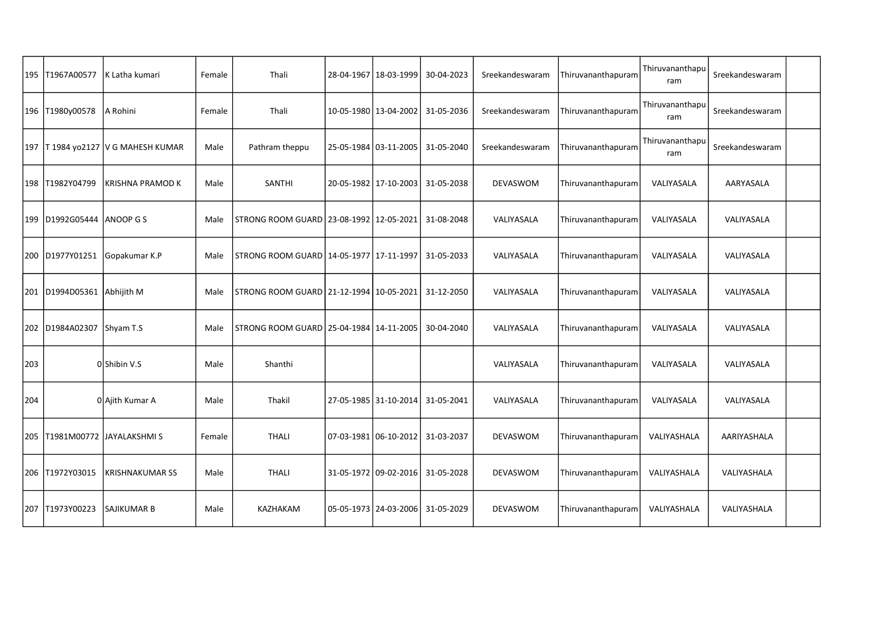|     | 195   T1967A00577         | K Latha kumari                        | Female | Thali                                                  | 28-04-1967   18-03-1999 | 30-04-2023                           | Sreekandeswaram | Thiruvananthapuram | Thiruvananthapu<br>ram | Sreekandeswaram |  |
|-----|---------------------------|---------------------------------------|--------|--------------------------------------------------------|-------------------------|--------------------------------------|-----------------|--------------------|------------------------|-----------------|--|
|     | 196 T1980y00578           | A Rohini                              | Female | Thali                                                  | 10-05-1980   13-04-2002 | 31-05-2036                           | Sreekandeswaram | Thiruvananthapuram | Thiruvananthapu<br>ram | Sreekandeswaram |  |
|     |                           | 197   T1984 yo2127   V G MAHESH KUMAR | Male   | Pathram theppu                                         | 25-05-1984 03-11-2005   | 31-05-2040                           | Sreekandeswaram | Thiruvananthapuram | Thiruvananthapu<br>ram | Sreekandeswaram |  |
|     | 198   T1982Y04799         | KRISHNA PRAMOD K                      | Male   | SANTHI                                                 | 20-05-1982   17-10-2003 | 31-05-2038                           | DEVASWOM        | Thiruvananthapuram | VALIYASALA             | AARYASALA       |  |
|     | 199 D1992G05444 ANOOP G S |                                       | Male   | STRONG ROOM GUARD   23-08-1992   12-05-2021            |                         | 31-08-2048                           | VALIYASALA      | Thiruvananthapuram | VALIYASALA             | VALIYASALA      |  |
|     | 200 D1977Y01251           | Gopakumar K.P                         | Male   | STRONG ROOM GUARD 14-05-1977   17-11-1997   31-05-2033 |                         |                                      | VALIYASALA      | Thiruvananthapuram | VALIYASALA             | VALIYASALA      |  |
|     | 201 D1994D05361           | Abhijith M                            | Male   | STRONG ROOM GUARD   21-12-1994   10-05-2021            |                         | 31-12-2050                           | VALIYASALA      | Thiruvananthapuram | VALIYASALA             | VALIYASALA      |  |
|     | 202 D1984A02307           | Shyam T.S                             | Male   | STRONG ROOM GUARD   25-04-1984   14-11-2005            |                         | 30-04-2040                           | VALIYASALA      | Thiruvananthapuram | VALIYASALA             | VALIYASALA      |  |
| 203 |                           | OlShibin V.S                          | Male   | Shanthi                                                |                         |                                      | VALIYASALA      | Thiruvananthapuram | VALIYASALA             | VALIYASALA      |  |
| 204 |                           | 0 Ajith Kumar A                       | Male   | Thakil                                                 |                         | 27-05-1985 31-10-2014 31-05-2041     | VALIYASALA      | Thiruvananthapuram | VALIYASALA             | VALIYASALA      |  |
|     |                           | 205   T1981M00772   JAYALAKSHMI S     | Female | <b>THALI</b>                                           |                         | 07-03-1981   06-10-2012   31-03-2037 | DEVASWOM        | Thiruvananthapuram | VALIYASHALA            | AARIYASHALA     |  |
|     | 206 T1972Y03015           | <b>KRISHNAKUMAR SS</b>                | Male   | <b>THALI</b>                                           |                         | 31-05-1972 09-02-2016 31-05-2028     | DEVASWOM        | Thiruvananthapuram | VALIYASHALA            | VALIYASHALA     |  |
|     | 207 T1973Y00223           | SAJIKUMAR B                           | Male   | KAZHAKAM                                               | 05-05-1973   24-03-2006 | 31-05-2029                           | <b>DEVASWOM</b> | Thiruvananthapuram | VALIYASHALA            | VALIYASHALA     |  |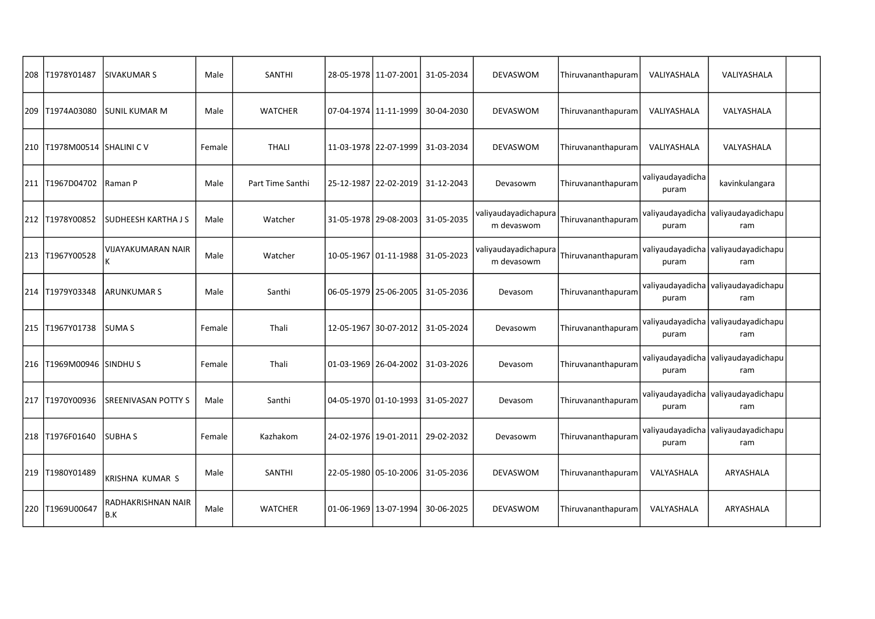| 208 T1978Y01487                 | <b>SIVAKUMAR S</b>         | Male   | <b>SANTHI</b>    | 28-05-1978   11-07-2001 | 31-05-2034                           | DEVASWOM                           | Thiruvananthapuram | VALIYASHALA               | VALIYASHALA                                |  |
|---------------------------------|----------------------------|--------|------------------|-------------------------|--------------------------------------|------------------------------------|--------------------|---------------------------|--------------------------------------------|--|
| 209 T1974A03080                 | lsunil kumar M             | Male   | <b>WATCHER</b>   | 07-04-1974   11-11-1999 | 30-04-2030                           | <b>DEVASWOM</b>                    | Thiruvananthapuram | VALIYASHALA               | VALYASHALA                                 |  |
| 210   T1978M00514   SHALINI C V |                            | Female | <b>THALI</b>     | 11-03-1978   22-07-1999 | 31-03-2034                           | DEVASWOM                           | Thiruvananthapuram | VALIYASHALA               | VALYASHALA                                 |  |
| 211  T1967D04702                | Raman P                    | Male   | Part Time Santhi | 25-12-1987   22-02-2019 | 31-12-2043                           | Devasowm                           | Thiruvananthapuram | valiyaudayadicha<br>puram | kavinkulangara                             |  |
| 212 T1978Y00852                 | <b>SUDHEESH KARTHA J S</b> | Male   | Watcher          |                         | 31-05-1978   29-08-2003   31-05-2035 | valiyaudayadichapura<br>m devaswom | Thiruvananthapuram | valiyaudayadicha<br>puram | valiyaudayadichapu<br>ram                  |  |
| 213 T1967Y00528                 | VIJAYAKUMARAN NAIR         | Male   | Watcher          |                         | 10-05-1967 01-11-1988 31-05-2023     | valiyaudayadichapura<br>m devasowm | Thiruvananthapuram | valiyaudayadicha<br>puram | valiyaudayadichapu<br>ram                  |  |
| 214 T1979Y03348                 | <b>ARUNKUMAR S</b>         | Male   | Santhi           | 06-05-1979   25-06-2005 | 31-05-2036                           | Devasom                            | Thiruvananthapuram | valiyaudayadicha<br>puram | valiyaudayadichapu<br>ram                  |  |
| 215 T1967Y01738                 | <b>SUMAS</b>               | Female | Thali            |                         | 12-05-1967 30-07-2012 31-05-2024     | Devasowm                           | Thiruvananthapuram | valiyaudayadicha<br>puram | valiyaudayadichapu<br>ram                  |  |
| 216   T1969M00946   SINDHU S    |                            | Female | Thali            |                         | 01-03-1969   26-04-2002   31-03-2026 | Devasom                            | Thiruvananthapuram | puram                     | valiyaudayadicha valiyaudayadichapu<br>ram |  |
| 217 T1970Y00936                 | ISREENIVASAN POTTY S       | Male   | Santhi           |                         | 04-05-1970 01-10-1993 31-05-2027     | Devasom                            | Thiruvananthapuram | valiyaudayadicha<br>puram | valiyaudayadichapu<br>ram                  |  |
| 218 T1976F01640                 | <b>SUBHAS</b>              | Female | Kazhakom         | 24-02-1976 19-01-2011   | 29-02-2032                           | Devasowm                           | Thiruvananthapuram | valiyaudayadicha<br>puram | valiyaudayadichapu<br>ram                  |  |
| 219 T1980Y01489                 | <b>KRISHNA KUMAR S</b>     | Male   | <b>SANTHI</b>    | 22-05-1980 05-10-2006   | 31-05-2036                           | <b>DEVASWOM</b>                    | Thiruvananthapuram | VALYASHALA                | ARYASHALA                                  |  |
| 220 T1969U00647                 | RADHAKRISHNAN NAIR<br>B.K  | Male   | <b>WATCHER</b>   | 01-06-1969   13-07-1994 | 30-06-2025                           | <b>DEVASWOM</b>                    | Thiruvananthapuram | VALYASHALA                | ARYASHALA                                  |  |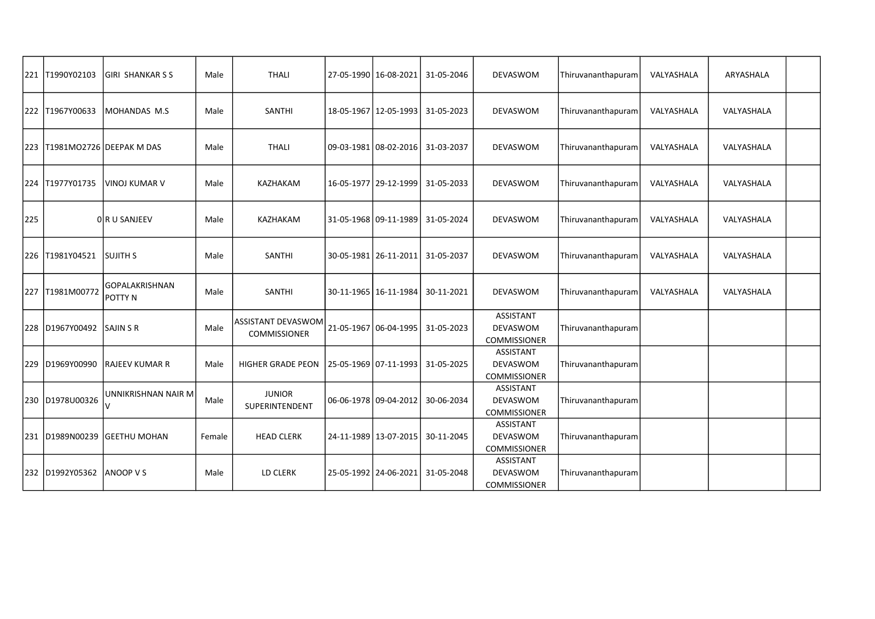|     | 221  T1990Y02103 | <b>GIRI SHANKARSS</b>            | Male   | <b>THALI</b>                              | 27-05-1990 16-08-2021   | 31-05-2046 | DEVASWOM                                            | Thiruvananthapuram | VALYASHALA | ARYASHALA  |  |
|-----|------------------|----------------------------------|--------|-------------------------------------------|-------------------------|------------|-----------------------------------------------------|--------------------|------------|------------|--|
|     |                  |                                  |        |                                           |                         |            |                                                     |                    |            |            |  |
|     | 222 T1967Y00633  | MOHANDAS M.S                     | Male   | <b>SANTHI</b>                             | 18-05-1967 12-05-1993   | 31-05-2023 | DEVASWOM                                            | Thiruvananthapuram | VALYASHALA | VALYASHALA |  |
|     |                  | 223   T1981MO2726   DEEPAK M DAS | Male   | <b>THALI</b>                              | 09-03-1981 08-02-2016   | 31-03-2037 | DEVASWOM                                            | Thiruvananthapuram | VALYASHALA | VALYASHALA |  |
|     | 224 T1977Y01735  | <b>VINOJ KUMAR V</b>             | Male   | KAZHAKAM                                  | 16-05-1977   29-12-1999 | 31-05-2033 | DEVASWOM                                            | Thiruvananthapuram | VALYASHALA | VALYASHALA |  |
| 225 |                  | OR U SANJEEV                     | Male   | KAZHAKAM                                  | 31-05-1968 09-11-1989   | 31-05-2024 | DEVASWOM                                            | Thiruvananthapuram | VALYASHALA | VALYASHALA |  |
|     | 226 T1981Y04521  | <b>SUJITH S</b>                  | Male   | SANTHI                                    | 30-05-1981   26-11-2011 | 31-05-2037 | DEVASWOM                                            | Thiruvananthapuram | VALYASHALA | VALYASHALA |  |
|     | 227 T1981M00772  | <b>GOPALAKRISHNAN</b><br>POTTY N | Male   | SANTHI                                    | 30-11-1965   16-11-1984 | 30-11-2021 | DEVASWOM                                            | Thiruvananthapuram | VALYASHALA | VALYASHALA |  |
|     | 228 D1967Y00492  | <b>SAJIN S R</b>                 | Male   | ASSISTANT DEVASWOM<br><b>COMMISSIONER</b> | 21-05-1967 06-04-1995   | 31-05-2023 | <b>ASSISTANT</b><br>DEVASWOM<br>COMMISSIONER        | Thiruvananthapuram |            |            |  |
|     | 229 D1969Y00990  | <b>RAJEEV KUMAR R</b>            | Male   | <b>HIGHER GRADE PEON</b>                  | 25-05-1969 07-11-1993   | 31-05-2025 | ASSISTANT<br><b>DEVASWOM</b><br><b>COMMISSIONER</b> | Thiruvananthapuram |            |            |  |
|     | 230 D1978U00326  | UNNIKRISHNAN NAIR M              | Male   | <b>JUNIOR</b><br>SUPERINTENDENT           | 06-06-1978 09-04-2012   | 30-06-2034 | <b>ASSISTANT</b><br>DEVASWOM<br>COMMISSIONER        | Thiruvananthapuram |            |            |  |
|     | 231 D1989N00239  | <b>GEETHU MOHAN</b>              | Female | <b>HEAD CLERK</b>                         | 24-11-1989 13-07-2015   | 30-11-2045 | <b>ASSISTANT</b><br>DEVASWOM<br>COMMISSIONER        | Thiruvananthapuram |            |            |  |
|     | 232 D1992Y05362  | ANOOP V S                        | Male   | LD CLERK                                  | 25-05-1992 24-06-2021   | 31-05-2048 | <b>ASSISTANT</b><br>DEVASWOM<br><b>COMMISSIONER</b> | Thiruvananthapuram |            |            |  |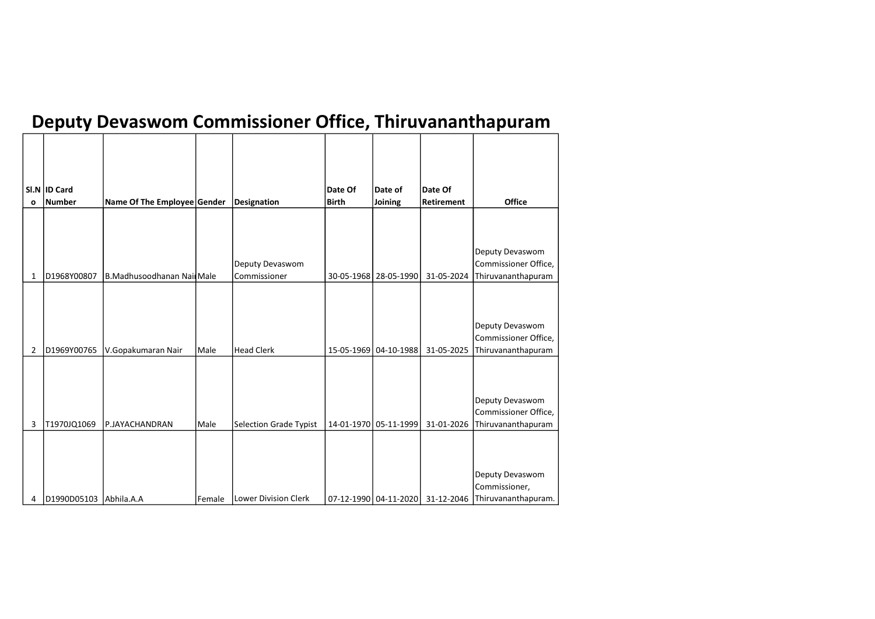## Deputy Devaswom Commissioner Office, Thiruvananthapuram

| <b>Office</b>                                                 |
|---------------------------------------------------------------|
|                                                               |
| Deputy Devaswom<br>Commissioner Office,<br>Thiruvananthapuram |
|                                                               |
| Deputy Devaswom<br>Commissioner Office,<br>Thiruvananthapuram |
|                                                               |
| Deputy Devaswom<br>Commissioner Office,<br>Thiruvananthapuram |
|                                                               |
| Deputy Devaswom<br>Commissioner,<br>Thiruvananthapuram.       |
|                                                               |